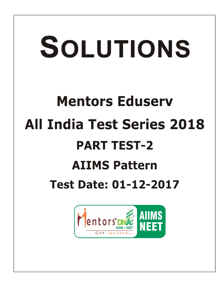# SOLUTIONS **Mentors Eduserv All India Test Series 2018 PART TEST-2 AIIMS Pattern Test Date: 01-12-2017 AIIMS**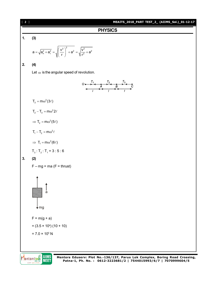

# **PHYSICS**



$$
a = \sqrt{a_n^2 + a_t^2} = \sqrt{\left(\frac{v^2}{r}\right)^2 + a^2} = \sqrt{\frac{v^2}{r^2} + a^2}
$$

# **2. (4)**

Let  $\omega$  is the angular speed of revolution.



 $T_3 = m\omega^2 (3\ell)$ 

- $T_2 T_3 = m\omega^2 2\ell$
- $\Rightarrow$  T<sub>2</sub> = m $\omega^2$ (5 $\ell$ )
- $T_1 T_2 = m\omega^2 \ell$
- $\Rightarrow$  T<sub>1</sub> = m $\omega^2$ (6 $\ell$ )

$$
T_3 : T_2 : T_1 = 3 : 5 : 6
$$

# **3. (2)**

 $F - mg = ma (F = thrust)$ 



**AIIMS NEET** 

Mentors DNE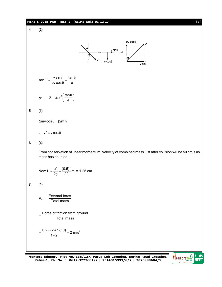# **MEAITS\_2018\_PART TEST\_2\_ (AIIMS\_Sol.)\_01-12-17** [ **3** ] **4. (2)**  $ev \cos \theta$  $\frac{v \sin \theta}{2}$   $\Rightarrow$  $v \cos\theta$  $v \sin\theta$  $\tan \theta' = \frac{v \sin \theta}{ev \cos \theta} = \frac{\tan \theta}{e}$ or  $\theta = \tan^{-1} \left( \frac{\tan \theta}{e} \right)$  $\theta = \tan^{-1} \left( \frac{\tan \theta}{e} \right)$ **5. (1)**  $2mv \cos \theta = (2m)v'$  $\therefore$  v' = v cos  $\theta$ **6. (4)** From conservation of linear momentum, velocity of combined mass just after collision will be 50 cm/s as mass has doubled. Now H =  $\frac{u^2}{2g} = \frac{(0.5)^2}{20}$  m = 1.25 cm **7. (4)**  $a_{\text{cm}} = \frac{\text{External force}}{\text{Total mass}}$ CM  $=$  Force of friction from ground Total mass  $=\frac{0.2\times(2+1)(10)}{1+2}=2$  $\frac{0.2 \times (2 + 1)(10)}{1 + 2} = 2 \text{ m/s}^2$

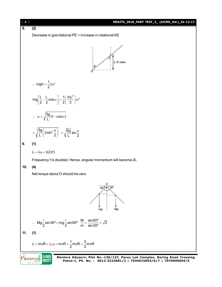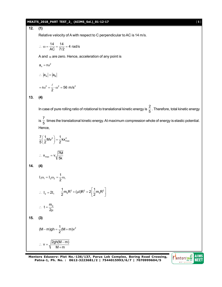## **MEAITS\_2018\_PART TEST\_2\_ (AIIMS\_Sol.)\_01-12-17** [ **5** ]

**12. (1)**

Relative velocity of A with respect to C perpendicular to AC is 14 m/s.

$$
\therefore \ \omega = \frac{14}{AC} = \frac{14}{7/2} = 4 \text{ rad/s}
$$

A and  $\alpha$  are zero. Hence, acceleration of any point is

$$
a_n = r\omega^2
$$

$$
\therefore |a_A| = |a_B|
$$

$$
=r\omega^2=\frac{\ell}{2}\cdot\omega^2=56 \text{ m/s}^2
$$

$$
13. (4)
$$

In case of pure rolling ratio of rotational to translational kinetic energy is  $\frac{2}{5}$  $\frac{1}{5}$  . Therefore, total kinetic energy

is  $\frac{7}{5}$  $\frac{1}{5}$  times the translational kinetic energy. At maximum compression whole of energy is elastic potential.<br>5 Hence,

$$
\frac{7}{5} \left( \frac{1}{2} M v^2 \right) = \frac{1}{2} k x_{\text{max}}^2
$$

$$
\therefore x_{\text{max}} = v \sqrt{\frac{7M}{5k}}
$$

**14. (4)**

$$
I_1\omega_1 = I_2\omega_2 = \frac{1}{2}\omega_1
$$
  
\n∴  $I_2 = 2I_1$   $\frac{1}{2}m_0R^2 + (\mu t)R^2 = 2\left[\frac{1}{2}m_0R^2\right]$   
\n∴  $t = \frac{m_0}{2\mu}$   
\n15. (3)  
\n $(M-m)gh = \frac{1}{2}(M+m)v^2$   
\n∴  $v = \sqrt{\frac{2gh(M-m)}{M+m}}$ 

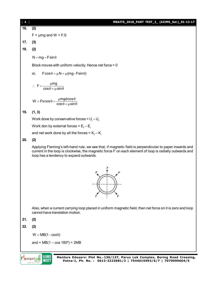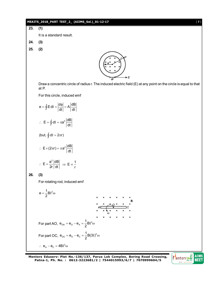# **MEAITS\_2018\_PART TEST\_2\_ (AIIMS\_Sol.)\_01-12-17** [ **7** ]

**23. (1)**

It is a standard result.

- **24. (3)**
- **25. (2)**



Draw a concentric circle of radius r. The induced electric field (E) at any point on the circle is equal to that at P.

For this circle, induced emf

$$
e = \oint E \, dI = \left| \frac{d\phi}{dt} \right| = A \left| \frac{dB}{dt} \right|
$$
  
\n
$$
\therefore E = \oint dI = \pi a^2 \left| \frac{dB}{dt} \right|
$$
  
\n
$$
(\text{but, } \oint dI = 2\pi r)
$$
  
\n
$$
\therefore E \times (2\pi r) = \pi a^2 \left| \frac{dB}{dt} \right|
$$
  
\n
$$
\therefore E = \frac{a^2}{2r} \left| \frac{dB}{dt} \right| \implies E \propto \frac{1}{r}
$$

$$
26. (3)
$$

For rotating rod, induced emf

1 <sup>2</sup> e B 2 For part AO, <sup>2</sup> OA O A 1 e e e B 2 For part OC, <sup>2</sup> OC O C 1 e e e B(3 ) 2 <sup>2</sup> e e 4B A C

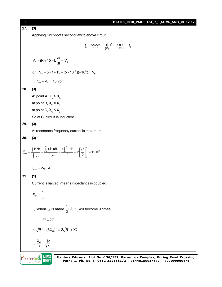| $[ 8 ]$ | MEAITS_2018_PART TEST_2_ (AIIMS_Sol.)_01-12-17                                                                                                                       |  |
|---------|----------------------------------------------------------------------------------------------------------------------------------------------------------------------|--|
| 27.     | (3)                                                                                                                                                                  |  |
|         | Applying Kirchhoff's second law to above circuit,                                                                                                                    |  |
|         | $\overrightarrow{A}$ 1 $\Omega$ 5V 5mH $\overrightarrow{B}$                                                                                                          |  |
|         |                                                                                                                                                                      |  |
|         | $V_{A} - iR + 15 - L \frac{di}{dt} = V_{B}$                                                                                                                          |  |
|         | or $V_a - 5 \times 1 + 15 - (5 \times 10^{-3})(-10^3) = V_B$                                                                                                         |  |
|         | $\therefore$ V <sub>B</sub> - V <sub>A</sub> = 15 volt                                                                                                               |  |
| 28.     | (3)                                                                                                                                                                  |  |
|         | At point A, $X_c > X_L$                                                                                                                                              |  |
|         | at point B, $X_c = X_i$                                                                                                                                              |  |
|         | at point C, $X_c < X_L$                                                                                                                                              |  |
|         | So at C, circuit is inductive.                                                                                                                                       |  |
| 29.     | (3)                                                                                                                                                                  |  |
|         | At resonance frequency current is maximum.                                                                                                                           |  |
| 30.     | (3)                                                                                                                                                                  |  |
|         | $\int_{\text{rms}}^2 = \frac{\int i^2 dt}{\int dt} = \frac{\int_2^4 (4t) dt}{\int_1^4 dt} = \frac{4 \int_2^4 t dt}{2} = 2 \left[ \frac{t^2}{2} \right]_2^4 = 12 A^2$ |  |
|         | $i_{\rm rms} = 2\sqrt{3} A$                                                                                                                                          |  |
| 31.     | (1)                                                                                                                                                                  |  |
|         | Current is halved, means impedance is doubled.                                                                                                                       |  |
|         | $X_c \propto \frac{1}{\omega}$                                                                                                                                       |  |
|         | ∴ When $\omega$ is made $\frac{1}{3}$ rd, X <sub>c</sub> will become 3 times.                                                                                        |  |
|         | $Z' = 2Z$                                                                                                                                                            |  |
|         | : $\sqrt{R^2 + (3X_C)^2} = 2\sqrt{R^2 + X_C^2}$                                                                                                                      |  |
|         | $\therefore \frac{X_c}{R} = \sqrt{\frac{3}{5}}$                                                                                                                      |  |
|         | AIIMS<br>Mentors Eduserv: Plot No.-136/137, Parus Lok Complex, Boring Road Crossing,                                                                                 |  |
|         | <b>Tentors</b> <sup>o</sup><br>Patna-1, Ph. No.: 0612-3223681/2   7544015993/6/7   7070999604/5                                                                      |  |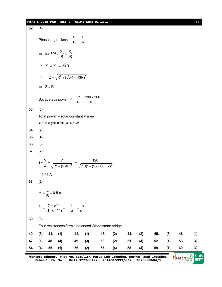### **MEAITS\_2018\_PART TEST\_2\_ (AIIMS\_Sol.)\_01-12-17** [ **9** ]

**32. (4)** Phase angle,  $\tan \phi = \frac{X_L}{R} = \frac{X_C}{R}$  $\Rightarrow$  tan60° =  $\frac{X_{L}}{R}$  =  $\frac{X_{C}}{R}$  $\Rightarrow X_{L} = X_{C} = \sqrt{3}R$ i.e.,  $Z = \sqrt{R^2 + (\sqrt{3}R - \sqrt{3}R)^2}$  $\Rightarrow$  Z = R So, average power,  $P = \frac{V^2}{R} = \frac{200 \times 200}{100}$  $=\frac{V^2}{R}=\frac{200\times}{12}$ **33. (3)** Total power = solar constant  $\times$  area = 10<sup>4</sup> × (10 × 10) = 10<sup>6</sup> W **34. (2) 35. (4) 36. (3) 37. (2)**  $i = \frac{V}{Z} = \frac{V}{\sqrt{R^2 + (2 - f)^2}}$  $=\frac{1}{Z} = \frac{1}{\sqrt{R^2 + (2\pi fL)}}$  $+(2\pi fL)^2$   $\sqrt{(10)^2 + (2\pi \times 60 \times 2)^2}$ 120  $(10)^2 + (2\pi \times 60 \times 2)$  $=$  $+(2\pi\!\times\!60\!\times\!2)$  $= 0.16 A$ **38. (2)**  $\tau_{L} = \frac{L}{R} = 0.5 \text{ s}$  $-\infty$  1  $\Omega^2$  $e^{(-1)(0.5)}$  1-e<sup>-2</sup> e<sup>2</sup> i (1- $e^{-\infty}$ ) 1  $e^{2\infty}$ i<sub>1</sub>  $(1-e^{-1/0.5})$   $1-e^{-2}$   $e^2-1$  $\frac{1}{\alpha} = \frac{(1 - e^{-\alpha})}{(1 - e^{-1/0.5})} = \frac{1}{1 - e^{-2}} = \frac{e^2}{e^2 - 1}$ **39. (3)** Four resistances form a balanced Wheatstone bridge. **40. (3) 41. (1) 42. (1) 43. (2) 44. (2) 45. (3) 46. (4) 47. (1) 48. (4) 49. (3) 50. (2) 51. (4) 52. (1) 53. (4) 54. (4) 55. (1) 56. (2) 57. (4) 58. (4) 59. (1) 60. (4)**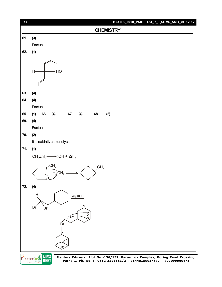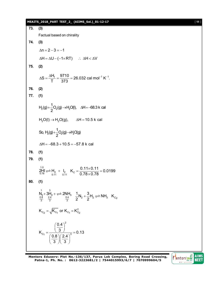# **MEAITS\_2018\_PART TEST\_2\_ (AIIMS\_Sol.)\_01-12-17** [ **11** ]

**73. (3)** Factual based on chirality **74. (3)**  $\Delta n = 2 - 3 = -1$  $\Delta H = \Delta U - (-1 \times RT)$  :  $\Delta H < \Delta V$ **75. (2)**  $S = \frac{\Delta H_f}{T} = \frac{9710}{270} = 26.032$  cal mol<sup>-1</sup> K<sup>-1</sup>. T 373  $\Delta S = \frac{\Delta H_f}{T} = \frac{9710}{.278} = 26.032 \text{ cal mol}^{-1} \text{ K}^{-1}$ **76. (2) 77. (1)**  $2(y)$ ,  $\frac{1}{2}(y)$ ,  $\frac{1}{2}$  $H_2(g) + \frac{1}{2} O_2(g) \rightarrow H_2O(l), \quad \Delta H = -68.3 \text{ k cal}$ 2  $+\frac{1}{6}O_{2}(g) \rightarrow H_{2}O(l), \quad \Delta H = -6$  $H_2O(I) \rightarrow H_2O(g)$ ,  $\Delta H = 10.5$  k cal  $29 - 229 - 22$ So,  $H_2(g) + \frac{1}{2}O_2(g) \rightarrow H_2O(g)$ 2  $+ - Q_2(g) \rightarrow$  $\Delta H = -68.3 + 10.5 = -57.8$  k cal **78. (1) 79. (1)** 1.0  $2 H_{\odot}$  =  $H_{\odot}$  +  $I_{\odot}$  K<sub>C</sub> =  $\frac{0.11 \times 0.11}{0.78 \times 0.78}$  = 0.0199  $0.78\times0.78$  $=\frac{0.11\times0.11}{0.70\times0.70}=0$  $\times$ **80. (1)** 1 3  $2^{\text{H}} 2^{\text{H}} 2^{\text{H}}$ <br>0.8 2.4 0.4  $N_2 + 3H_2 + N_3 = 2NH_3$   $\frac{1}{3}N_2 + \frac{3}{2}H_2 \rightleftharpoons NH_3$   $K_{C_2}$  $2^2$  2  $+\frac{6}{6}H_2 \rightleftharpoons$  $K_{C_2} = \sqrt{K_{C_1}}$  or  $K_{C_1} = K_{C_2}^2$ 2  $C_1$   $(0.9)(2.1)^3$ 0.4  $K_{\text{C1}} = \frac{(3)}{(1.3 \times 10^{-3})^3} = 0.13$  $0.8 \backslash 2.4$ 3 八 3  $=\frac{\left(\frac{0.4}{3}\right)^2}{\left(\frac{0.4}{3}\right)^3} = 0$  $\left(\frac{0.8}{3}\right)\left(\frac{2.4}{3}\right)^5$ 

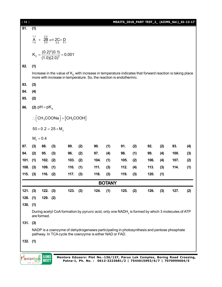| $[12]$     |                                                                                                                                                                                   |            |     |          |     |                                                                                            |               |      |     |      |     | MEAITS_2018_PART TEST_2_ (AIIMS_Sol.)_01-12-17 |     |
|------------|-----------------------------------------------------------------------------------------------------------------------------------------------------------------------------------|------------|-----|----------|-----|--------------------------------------------------------------------------------------------|---------------|------|-----|------|-----|------------------------------------------------|-----|
| 81.        | (1)                                                                                                                                                                               |            |     |          |     |                                                                                            |               |      |     |      |     |                                                |     |
|            | 1.1<br>2.2<br>$+ 2B \rightleftharpoons 2C + D$ <sub>0.2</sub><br>$A_{1.0}$                                                                                                        |            |     |          |     |                                                                                            |               |      |     |      |     |                                                |     |
|            | $K_c = \frac{(0.2)^2 (0.1)}{(1.0)(2.0)^2} = 0.001$                                                                                                                                |            |     |          |     |                                                                                            |               |      |     |      |     |                                                |     |
| 82.        | (1)                                                                                                                                                                               |            |     |          |     |                                                                                            |               |      |     |      |     |                                                |     |
|            | Increase in the value of $Kc$ with increase in temperature indicates that forward reaction is taking place<br>more with increase in temperature. So, the reaction is endothermic. |            |     |          |     |                                                                                            |               |      |     |      |     |                                                |     |
| 83.        | (3)                                                                                                                                                                               |            |     |          |     |                                                                                            |               |      |     |      |     |                                                |     |
| 84.        | (4)                                                                                                                                                                               |            |     |          |     |                                                                                            |               |      |     |      |     |                                                |     |
| 85.        | (2)                                                                                                                                                                               |            |     |          |     |                                                                                            |               |      |     |      |     |                                                |     |
| 86.        | (2) $pH = pK_a$                                                                                                                                                                   |            |     |          |     |                                                                                            |               |      |     |      |     |                                                |     |
|            | $\therefore$ CH <sub>3</sub> COONa <sup><math>]</math></sup> = [CH <sub>3</sub> COOH]                                                                                             |            |     |          |     |                                                                                            |               |      |     |      |     |                                                |     |
|            | $50 \times 0.2 = 25 \times M_{7}$                                                                                                                                                 |            |     |          |     |                                                                                            |               |      |     |      |     |                                                |     |
|            | $M_z = 0.4$                                                                                                                                                                       |            |     |          |     |                                                                                            |               |      |     |      |     |                                                |     |
| 87.        | (3)                                                                                                                                                                               | 88.        | (3) | 89.      | (2) | 90.                                                                                        | (1)           | 91.  | (2) | 92.  | (2) | 93.                                            | (4) |
| 94.        | (2)                                                                                                                                                                               | 95.        | (3) | 96.      | (2) | 97.                                                                                        | (4)           | 98.  | (1) | 99.  | (4) | 100.                                           | (3) |
| 101.       | (1)                                                                                                                                                                               | 102.       | (2) | 103.     | (2) | 104.                                                                                       | (1)           | 105. | (2) | 106. | (4) | 107.                                           | (2) |
| 108.       | (3)                                                                                                                                                                               | 109.       | (1) | 110.     | (1) | 111.                                                                                       | (3)           | 112. | (4) | 113. | (3) | 114.                                           | (1) |
| 115.       | (3)                                                                                                                                                                               | 116.       | (2) | 117.     | (3) | 118.                                                                                       | (3)           | 119. | (3) | 120. | (1) |                                                |     |
|            |                                                                                                                                                                                   |            |     |          |     |                                                                                            | <b>BOTANY</b> |      |     |      |     |                                                |     |
| 121. (3)   |                                                                                                                                                                                   | 122. (3)   |     | 123. (3) |     | 124.                                                                                       | (1)           | 125. | (2) | 126. | (3) | 127.                                           | (2) |
| $128.$ (1) |                                                                                                                                                                                   | $129.$ (2) |     |          |     |                                                                                            |               |      |     |      |     |                                                |     |
| 130.       | (1)                                                                                                                                                                               |            |     |          |     |                                                                                            |               |      |     |      |     |                                                |     |
|            | During acetyl CoA formation by pyruvic acid, only one NADH <sub>2</sub> is formed by which 3 molecules of ATP<br>are formed.                                                      |            |     |          |     |                                                                                            |               |      |     |      |     |                                                |     |
| 131. (3)   |                                                                                                                                                                                   |            |     |          |     |                                                                                            |               |      |     |      |     |                                                |     |
|            |                                                                                                                                                                                   |            |     |          |     | NADP is a coenzyme of dehydrogenases participating in photosynthesis and pentose phosphate |               |      |     |      |     |                                                |     |
|            |                                                                                                                                                                                   |            |     |          |     | pathway. In TCA cycle the coenzyme is either NAD or FAD.                                   |               |      |     |      |     |                                                |     |
| $132.$ (1) |                                                                                                                                                                                   |            |     |          |     |                                                                                            |               |      |     |      |     |                                                |     |
|            |                                                                                                                                                                                   |            |     |          |     |                                                                                            |               |      |     |      |     |                                                |     |
|            | <b>entors DN</b>                                                                                                                                                                  | IIIMS      |     |          |     | Mentors Eduserv: Plot No.-136/137, Parus Lok Complex, Boring Road Crossing,                |               |      |     |      |     |                                                |     |
|            |                                                                                                                                                                                   | 새라비        |     |          |     | Patna-1, Ph. No.: 0612-3223681/2   7544015993/6/7   7070999604/5                           |               |      |     |      |     |                                                |     |